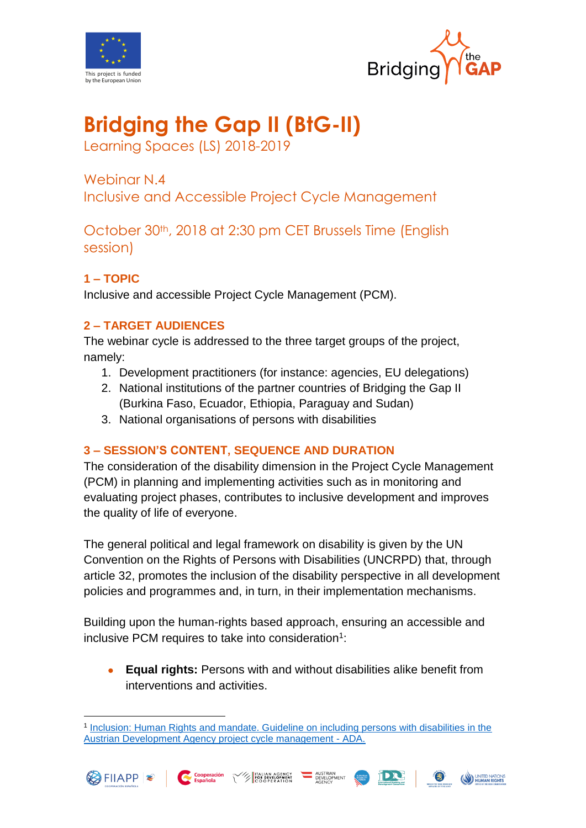



# **Bridging the Gap II (BtG-II)**

Learning Spaces (LS) 2018-2019

Webinar N.4 Inclusive and Accessible Project Cycle Management

October 30th, 2018 at 2:30 pm CET Brussels Time (English session)

# **1 – TOPIC**

Inclusive and accessible Project Cycle Management (PCM).

# **2 – TARGET AUDIENCES**

The webinar cycle is addressed to the three target groups of the project, namely:

- 1. Development practitioners (for instance: agencies, EU delegations)
- 2. National institutions of the partner countries of Bridging the Gap II (Burkina Faso, Ecuador, Ethiopia, Paraguay and Sudan)
- 3. National organisations of persons with disabilities

# **3 – SESSION'S CONTENT, SEQUENCE AND DURATION**

The consideration of the disability dimension in the Project Cycle Management (PCM) in planning and implementing activities such as in monitoring and evaluating project phases, contributes to inclusive development and improves the quality of life of everyone.

The general political and legal framework on disability is given by the UN Convention on the Rights of Persons with Disabilities (UNCRPD) that, through article 32, promotes the inclusion of the disability perspective in all development policies and programmes and, in turn, in their implementation mechanisms.

Building upon the human-rights based approach, ensuring an accessible and inclusive PCM requires to take into consideration<sup>1</sup>:

 **Equal rights:** Persons with and without disabilities alike benefit from interventions and activities.

<sup>1</sup> [Inclusion: Human Rights and mandate. Guideline on including persons with disabilities in the](https://www.entwicklung.at/fileadmin/user_upload/Dokumente/Publikationen/Handbuecher/Menschen_mB/Manual_Persons_with_disabilities.pdf)  [Austrian Development Agency project cycle management -](https://www.entwicklung.at/fileadmin/user_upload/Dokumente/Publikationen/Handbuecher/Menschen_mB/Manual_Persons_with_disabilities.pdf) ADA.



<u>.</u>





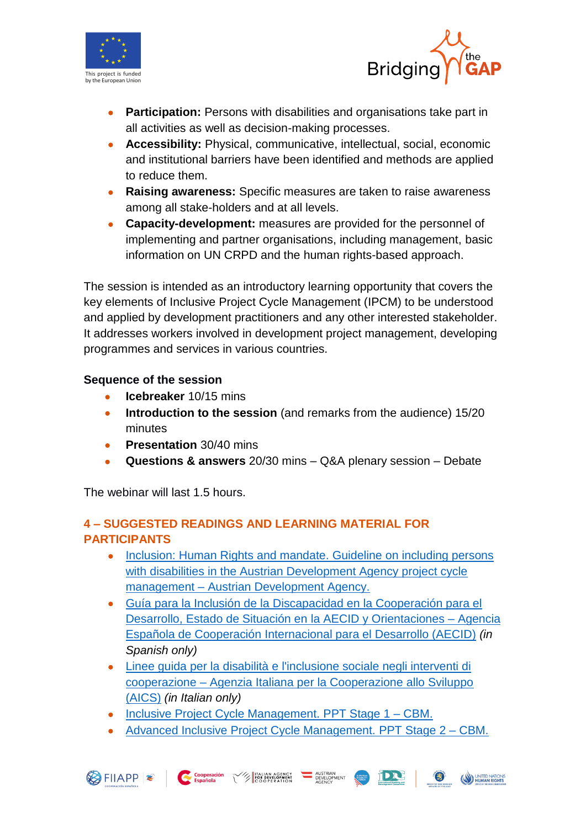



- **Participation:** Persons with disabilities and organisations take part in all activities as well as decision-making processes.
- **Accessibility:** Physical, communicative, intellectual, social, economic and institutional barriers have been identified and methods are applied to reduce them.
- **Raising awareness:** Specific measures are taken to raise awareness among all stake-holders and at all levels.
- **Capacity-development:** measures are provided for the personnel of implementing and partner organisations, including management, basic information on UN CRPD and the human rights-based approach.

The session is intended as an introductory learning opportunity that covers the key elements of Inclusive Project Cycle Management (IPCM) to be understood and applied by development practitioners and any other interested stakeholder. It addresses workers involved in development project management, developing programmes and services in various countries.

## **Sequence of the session**

- **•** Icebreaker 10/15 mins
- **Introduction to the session** (and remarks from the audience) 15/20 minutes
- **Presentation** 30/40 mins
- **Questions & answers** 20/30 mins Q&A plenary session Debate

The webinar will last 1.5 hours.

# **4 – SUGGESTED READINGS AND LEARNING MATERIAL FOR PARTICIPANTS**

- Inclusion: Human Rights and mandate. Guideline on including persons [with disabilities in the Austrian Development Agency project cycle](https://www.entwicklung.at/fileadmin/user_upload/Dokumente/Publikationen/Handbuecher/Menschen_mB/Manual_Persons_with_disabilities.pdf)  management – [Austrian Development Agency.](https://www.entwicklung.at/fileadmin/user_upload/Dokumente/Publikationen/Handbuecher/Menschen_mB/Manual_Persons_with_disabilities.pdf)
- [Guía para la Inclusión de la Discapacidad en la Cooperación para el](http://www.aecid.es/Centro-Documentacion/Documentos/Publicaciones%20AECID/180627_guia_discapacidad_def.pdf#search=guia%20discapacidad)  [Desarrollo, Estado de Situación en la AECID y Orientaciones –](http://www.aecid.es/Centro-Documentacion/Documentos/Publicaciones%20AECID/180627_guia_discapacidad_def.pdf#search=guia%20discapacidad) Agencia [Española de Cooperación Internacional para el Desarrollo \(AECID\)](http://www.aecid.es/Centro-Documentacion/Documentos/Publicaciones%20AECID/180627_guia_discapacidad_def.pdf#search=guia%20discapacidad) *(in Spanish only)*
- [Linee guida per la disabilità e l'inclusione sociale negli interventi di](https://www.google.es/url?sa=t&rct=j&q=&esrc=s&source=web&cd=1&cad=rja&uact=8&ved=0ahUKEwjd5fuE1dfaAhVKDJoKHWsbCXkQFggoMAA&url=https%3A%2F%2Fwww.esteri.it%2Fmae%2Fresource%2Fdoc%2F2018%2F02%2Flinee-guida-disabilita-2018.pdf&usg=AOvVaw39Iz-OFfpVwPkFiChdFNym)  cooperazione – [Agenzia Italiana per la Cooperazione allo Sviluppo](https://www.google.es/url?sa=t&rct=j&q=&esrc=s&source=web&cd=1&cad=rja&uact=8&ved=0ahUKEwjd5fuE1dfaAhVKDJoKHWsbCXkQFggoMAA&url=https%3A%2F%2Fwww.esteri.it%2Fmae%2Fresource%2Fdoc%2F2018%2F02%2Flinee-guida-disabilita-2018.pdf&usg=AOvVaw39Iz-OFfpVwPkFiChdFNym)  [\(AICS\)](https://www.google.es/url?sa=t&rct=j&q=&esrc=s&source=web&cd=1&cad=rja&uact=8&ved=0ahUKEwjd5fuE1dfaAhVKDJoKHWsbCXkQFggoMAA&url=https%3A%2F%2Fwww.esteri.it%2Fmae%2Fresource%2Fdoc%2F2018%2F02%2Flinee-guida-disabilita-2018.pdf&usg=AOvVaw39Iz-OFfpVwPkFiChdFNym) *(in Italian only)*
- [Inclusive Project Cycle Management. PPT Stage 1 –](https://www.cbm.org/article/downloads/54741/IPCM_Stage_1_PP_Slides.pdf) CBM.

**EXAMPLE TO RESPONDED THE STATE OF STATE OF STATE OF STATE OF STATE OF STATE OF STATE OF STATE OF STATE OF STATE OF STATE OF STATE OF STATE OF STATE OF STATE OF STATE OF STATE OF STATE OF STATE OF STATE OF STATE OF STATE O** 

• [Advanced Inclusive Project Cycle Management. PPT Stage 2 –](https://www.cbm.org/article/downloads/54741/IPCM_Stage_2_PP_Slides.pdf) CBM.

AUSTRIAN<br>DEVELOPMENT

图

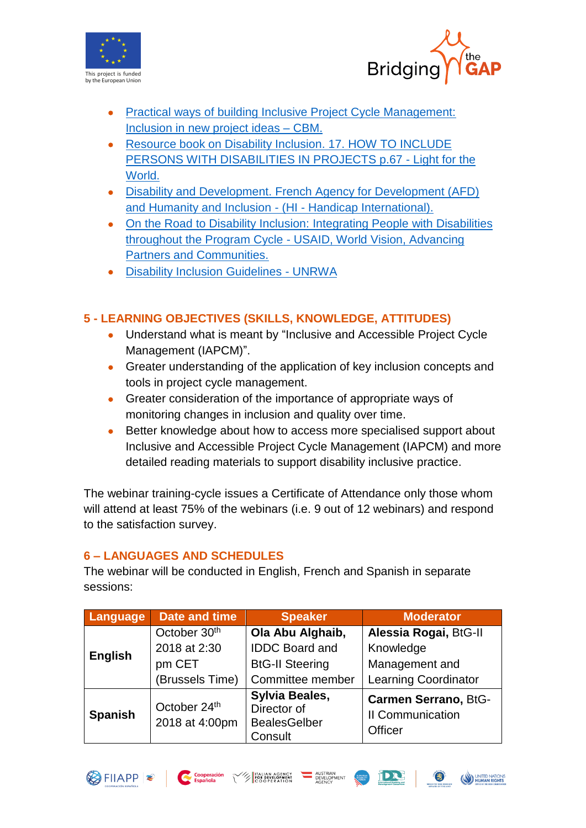



- [Practical ways of building Inclusive Project Cycle Management:](https://www.cbm.org/article/downloads/54741/IPCM_Handout_04.pdf)  [Inclusion in new project ideas –](https://www.cbm.org/article/downloads/54741/IPCM_Handout_04.pdf) CBM.
- Resource book on Disability Inclusion. 17. HOW TO INCLUDE [PERSONS WITH DISABILITIES IN PROJECTS p.67](https://www.light-for-the-world.org/sites/lfdw_org/files/download_files/resource_book_disability_inclusion.pdf) - Light for the [World.](https://www.light-for-the-world.org/sites/lfdw_org/files/download_files/resource_book_disability_inclusion.pdf)
- [Disability and Development. French Agency for Development \(AFD\)](http://www.hiproweb.org/fileadmin/cdroms/Handicap_Developpement/www/en_page61.html)  [and Humanity and Inclusion](http://www.hiproweb.org/fileadmin/cdroms/Handicap_Developpement/www/en_page61.html) - (HI - Handicap International).
- [On the Road to Disability Inclusion: Integrating People with](https://www.worldvision.org/wp-content/uploads/DIGPROD-85-On-the-Road-to-Disability-Inclusion-FINAL-6-13-2016.pdf) Disabilities throughout the Program Cycle - [USAID, World Vision, Advancing](https://www.worldvision.org/wp-content/uploads/DIGPROD-85-On-the-Road-to-Disability-Inclusion-FINAL-6-13-2016.pdf)  [Partners and Communities.](https://www.worldvision.org/wp-content/uploads/DIGPROD-85-On-the-Road-to-Disability-Inclusion-FINAL-6-13-2016.pdf)
- [Disability Inclusion Guidelines -](https://www.unrwa.org/sites/default/files/content/resources/disability_inclusion_guidelines.pdf) UNRWA

# **5 - LEARNING OBJECTIVES (SKILLS, KNOWLEDGE, ATTITUDES)**

- Understand what is meant by "Inclusive and Accessible Project Cycle Management (IAPCM)".
- Greater understanding of the application of key inclusion concepts and tools in project cycle management.
- Greater consideration of the importance of appropriate ways of monitoring changes in inclusion and quality over time.
- Better knowledge about how to access more specialised support about Inclusive and Accessible Project Cycle Management (IAPCM) and more detailed reading materials to support disability inclusive practice.

The webinar training-cycle issues a Certificate of Attendance only those whom will attend at least 75% of the webinars (i.e. 9 out of 12 webinars) and respond to the satisfaction survey.

## **6 – LANGUAGES AND SCHEDULES**

The webinar will be conducted in English, French and Spanish in separate sessions:

| Language       | <b>Date and time</b>           | <b>Speaker</b>                                                         | <b>Moderator</b>                                           |
|----------------|--------------------------------|------------------------------------------------------------------------|------------------------------------------------------------|
| English        | October 30 <sup>th</sup>       | Ola Abu Alghaib,                                                       | Alessia Rogai, BtG-II                                      |
|                | 2018 at 2:30                   | <b>IDDC Board and</b>                                                  | Knowledge                                                  |
|                | pm CET                         | <b>BtG-II Steering</b>                                                 | Management and                                             |
|                | (Brussels Time)                | Committee member                                                       | <b>Learning Coordinator</b>                                |
| <b>Spanish</b> | October 24th<br>2018 at 4:00pm | <b>Sylvia Beales,</b><br>Director of<br><b>BealesGelber</b><br>Consult | <b>Carmen Serrano, BtG-</b><br>II Communication<br>Officer |

A TALIAN AGENCY

- AUSTRIAN<br>- DEVELOPMENT<br>- AGENCY

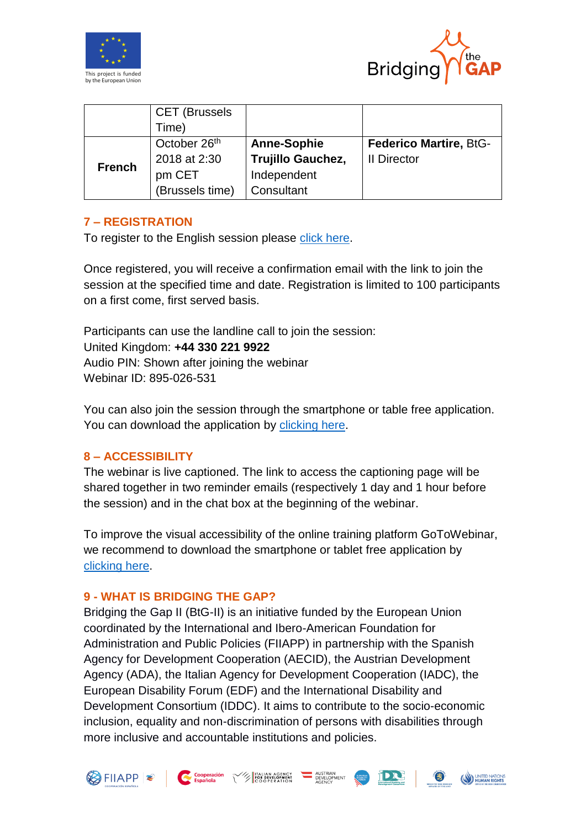



|               | <b>CET (Brussels</b>     |                    |                               |
|---------------|--------------------------|--------------------|-------------------------------|
|               | Time)                    |                    |                               |
| <b>French</b> | October 26 <sup>th</sup> | <b>Anne-Sophie</b> | <b>Federico Martire, BtG-</b> |
|               | 2018 at 2:30             | Trujillo Gauchez,  | II Director                   |
|               | pm CET                   | Independent        |                               |
|               | (Brussels time)          | Consultant         |                               |

## **7 – REGISTRATION**

To register to the English session please [click here.](https://attendee.gotowebinar.com/register/7116238659164735234)

Once registered, you will receive a confirmation email with the link to join the session at the specified time and date. Registration is limited to 100 participants on a first come, first served basis.

Participants can use the landline call to join the session: United Kingdom: **+44 330 221 9922** Audio PIN: Shown after joining the webinar Webinar ID: 895-026-531

You can also join the session through the smartphone or table free application. You can download the application by [clicking here.](https://www.gotomeeting.com/webinar/ipad-iphone-android-webinar-apps)

#### **8 – ACCESSIBILITY**

The webinar is live captioned. The link to access the captioning page will be shared together in two reminder emails (respectively 1 day and 1 hour before the session) and in the chat box at the beginning of the webinar.

To improve the visual accessibility of the online training platform GoToWebinar, we recommend to download the smartphone or tablet free application by [clicking here.](https://www.gotomeeting.com/webinar/ipad-iphone-android-webinar-apps)

#### **9 - WHAT IS BRIDGING THE GAP?**

Bridging the Gap II (BtG-II) is an initiative funded by the European Union coordinated by the International and Ibero-American Foundation for Administration and Public Policies (FIIAPP) in partnership with the Spanish Agency for Development Cooperation (AECID), the Austrian Development Agency (ADA), the Italian Agency for Development Cooperation (IADC), the European Disability Forum (EDF) and the International Disability and Development Consortium (IDDC). It aims to contribute to the socio-economic inclusion, equality and non-discrimination of persons with disabilities through more inclusive and accountable institutions and policies.